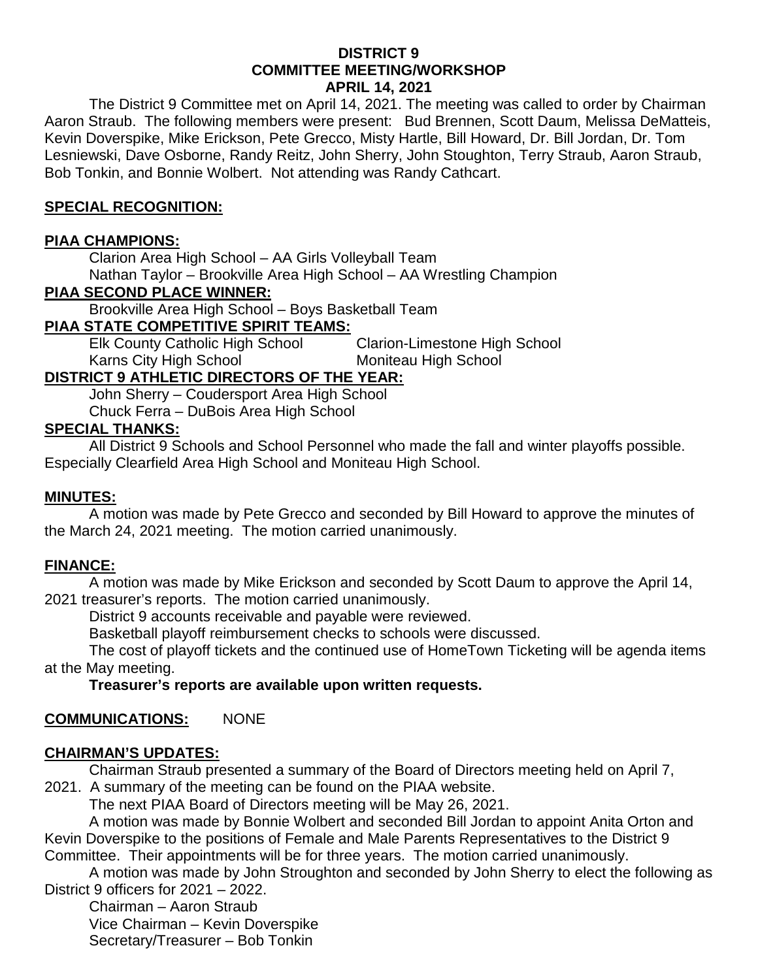#### **DISTRICT 9 COMMITTEE MEETING/WORKSHOP APRIL 14, 2021**

The District 9 Committee met on April 14, 2021. The meeting was called to order by Chairman Aaron Straub. The following members were present: Bud Brennen, Scott Daum, Melissa DeMatteis, Kevin Doverspike, Mike Erickson, Pete Grecco, Misty Hartle, Bill Howard, Dr. Bill Jordan, Dr. Tom Lesniewski, Dave Osborne, Randy Reitz, John Sherry, John Stoughton, Terry Straub, Aaron Straub, Bob Tonkin, and Bonnie Wolbert. Not attending was Randy Cathcart.

# **SPECIAL RECOGNITION:**

## **PIAA CHAMPIONS:**

Clarion Area High School – AA Girls Volleyball Team Nathan Taylor – Brookville Area High School – AA Wrestling Champion

# **PIAA SECOND PLACE WINNER:**

Brookville Area High School – Boys Basketball Team

# **PIAA STATE COMPETITIVE SPIRIT TEAMS:**

Elk County Catholic High School Clarion-Limestone High School<br>Karns City High School Moniteau High School Karns City High School

# **DISTRICT 9 ATHLETIC DIRECTORS OF THE YEAR:**

John Sherry – Coudersport Area High School Chuck Ferra – DuBois Area High School

## **SPECIAL THANKS:**

All District 9 Schools and School Personnel who made the fall and winter playoffs possible. Especially Clearfield Area High School and Moniteau High School.

## **MINUTES:**

A motion was made by Pete Grecco and seconded by Bill Howard to approve the minutes of the March 24, 2021 meeting. The motion carried unanimously.

## **FINANCE:**

A motion was made by Mike Erickson and seconded by Scott Daum to approve the April 14, 2021 treasurer's reports. The motion carried unanimously.

District 9 accounts receivable and payable were reviewed.

Basketball playoff reimbursement checks to schools were discussed.

The cost of playoff tickets and the continued use of HomeTown Ticketing will be agenda items at the May meeting.

## **Treasurer's reports are available upon written requests.**

## **COMMUNICATIONS:** NONE

## **CHAIRMAN'S UPDATES:**

Chairman Straub presented a summary of the Board of Directors meeting held on April 7, 2021. A summary of the meeting can be found on the PIAA website.

The next PIAA Board of Directors meeting will be May 26, 2021.

A motion was made by Bonnie Wolbert and seconded Bill Jordan to appoint Anita Orton and Kevin Doverspike to the positions of Female and Male Parents Representatives to the District 9 Committee. Their appointments will be for three years. The motion carried unanimously.

A motion was made by John Stroughton and seconded by John Sherry to elect the following as District 9 officers for 2021 – 2022.

Chairman – Aaron Straub Vice Chairman – Kevin Doverspike Secretary/Treasurer – Bob Tonkin